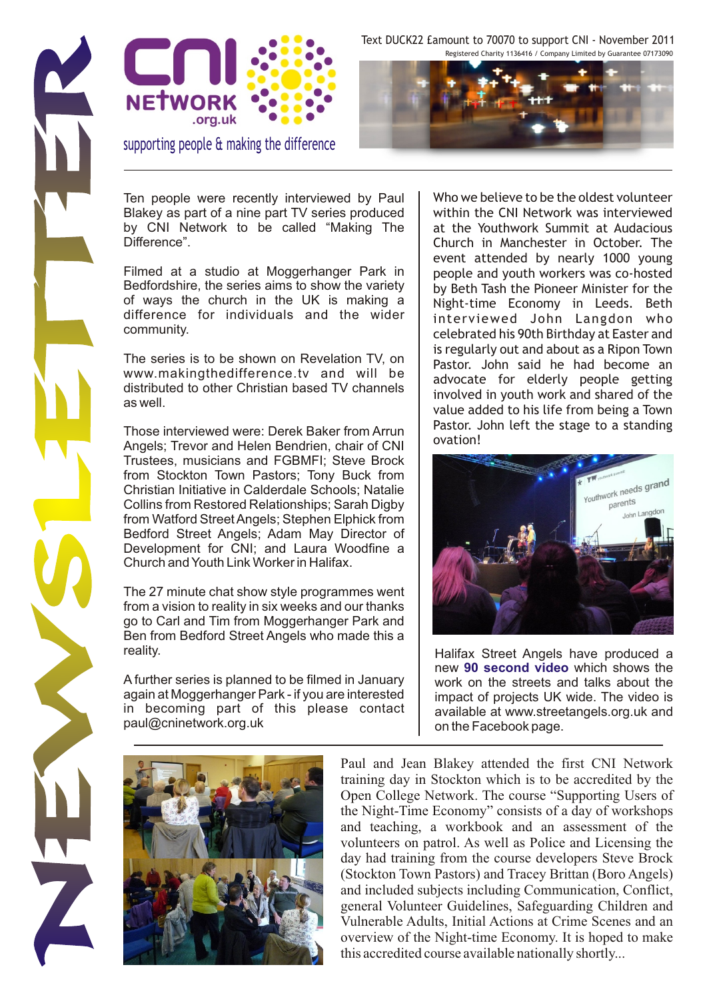

supporting people & making the difference

Ten people were recently interviewed by Paul Blakey as part of a nine part TV series produced by CNI Network to be called "Making The Difference".

Filmed at a studio at Moggerhanger Park in Bedfordshire, the series aims to show the variety of ways the church in the UK is making a difference for individuals and the wider community.

The series is to be shown on Revelation TV, on www.makingthedifference.tv and will be distributed to other Christian based TV channels as well.

Those interviewed were: Derek Baker from Arrun Angels; Trevor and Helen Bendrien, chair of CNI Trustees, musicians and FGBMFI; Steve Brock from Stockton Town Pastors; Tony Buck from Christian Initiative in Calderdale Schools; Natalie Collins from Restored Relationships; Sarah Digby from Watford Street Angels; Stephen Elphick from Bedford Street Angels; Adam May Director of Development for CNI; and Laura Woodfine a Church and Youth Link Worker in Halifax.

The 27 minute chat show style programmes went from a vision to reality in six weeks and our thanks go to Carl and Tim from Moggerhanger Park and Ben from Bedford Street Angels who made this a reality.

A further series is planned to be filmed in January again at Moggerhanger Park - if you are interested in becoming part of this please contact paul@cninetwork.org.uk

Text DUCK22 £amount to 70070 to support CNI - November 2011 Registered Charity 1136416 / Company Limited by Guarantee 07173090



Who we believe to be the oldest volunteer within the CNI Network was interviewed at the Youthwork Summit at Audacious Church in Manchester in October. The event attended by nearly 1000 young people and youth workers was co-hosted by Beth Tash the Pioneer Minister for the Night-time Economy in Leeds. Beth interviewed John Langdon who celebrated his 90th Birthday at Easter and is regularly out and about as a Ripon Town Pastor. John said he had become an advocate for elderly people getting involved in youth work and shared of the value added to his life from being a Town Pastor. John left the stage to a standing ovation!



Halifax Street Angels have produced a new 90 second video which shows the work on the streets and talks about the impact of projects UK wide. The video is available at www.streetangels.org.uk and on the Facebook page.



Paul and Jean Blakey attended the first CNI Network training day in Stockton which is to be accredited by the Open College Network. The course "Supporting Users of the Night-Time Economy" consists of a day of workshops and teaching, a workbook and an assessment of the volunteers on patrol. As well as Police and Licensing the day had training from the course developers Steve Brock (Stockton Town Pastors) and Tracey Brittan (Boro Angels) and included subjects including Communication, Conflict, general Volunteer Guidelines, Safeguarding Children and Vulnerable Adults, Initial Actions at Crime Scenes and an overview of the Night-time Economy. It is hoped to make this accredited course available nationally shortly...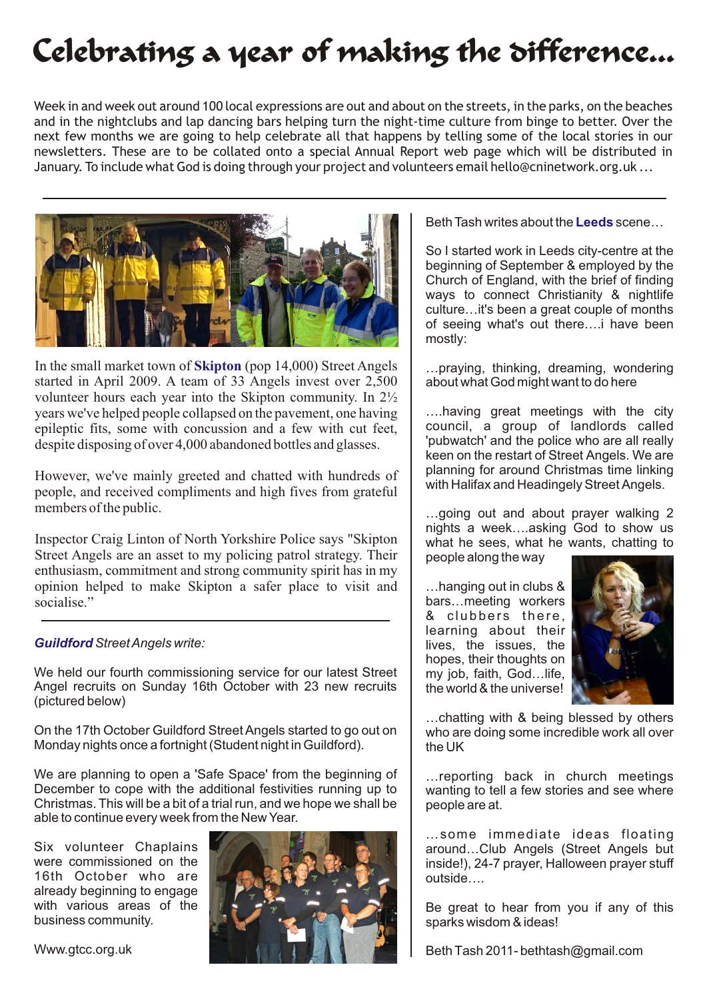## **Celebrating a year of making the difference...**

Week in and week out around 100 local expressions are out and about on the streets, in the parks, on the beaches and in the nightclubs and lap dancing bars helping turn the night-time culture from binge to better. Over the next few months we are going to help celebrate all that happens by telling some of the local stories in our newsletters. These are to be collated onto a special Annual Report web page which will be distributed in January. To include what God is doing through your project and volunteers email hello@cninetwork.org.uk ...



In the small market town of **Skipton** (pop 14,000) Street Angels started in April 2009. A team of 33 Angels invest over 2,500 volunteer hours each year into the Skipton community. In 2½ years we've helped people collapsed on the pavement, one having epileptic fits, some with concussion and a few with cut feet, despite disposing of over 4,000 abandoned bottles and glasses.

However, we've mainly greeted and chatted with hundreds of people, and received compliments and high fives from grateful members of the public.

Inspector Craig Linton of North Yorkshire Police says "Skipton Street Angels are an asset to my policing patrol strategy. Their enthusiasm, commitment and strong community spirit has in my opinion helped to make Skipton a safer place to visit and socialise."

## *GuildfordStreet Angels write:*

We held our fourth commissioning service for our latest Street Angel recruits on Sunday 16th October with 23 new recruits (pictured below)

On the 17th October Guildford Street Angels started to go out on Monday nights once a fortnight (Student night in Guildford).

We are planning to open a 'Safe Space' from the beginning of December to cope with the additional festivities running up to Christmas. This will be a bit of a trial run, and we hope we shall be able to continue every week from the New Year.

Six volunteer Chaplains were commissioned on the 16th October who are already beginning to engage with various areas of the business community.

Www.gtcc.org.uk



Beth Tash writes about the Leeds scene...

So I started work in Leeds city-centre at the beginning of September & employed by the Church of England, with the brief of finding ways to connect Christianity & nightlife culture…it's been a great couple of months of seeing what's out there….i have been mostly:

…praying, thinking, dreaming, wondering about what God might want to do here

….having great meetings with the city council, a group of landlords called 'pubwatch' and the police who are all really keen on the restart of Street Angels. We are planning for around Christmas time linking with Halifax and Headingely Street Angels.

…going out and about prayer walking 2 nights a week….asking God to show us what he sees, what he wants, chatting to people along the way

…hanging out in clubs & bars…meeting workers & clubbers there, learning about their lives, the issues, the hopes, their thoughts on my job, faith, God…life, the world & the universe!



…chatting with & being blessed by others who are doing some incredible work all over the UK

…reporting back in church meetings wanting to tell a few stories and see where people are at.

…some immediate ideas floating around…Club Angels (Street Angels but inside!), 24-7 prayer, Halloween prayer stuff outside….

Be great to hear from you if any of this sparks wisdom & ideas!

Beth Tash 2011- bethtash@gmail.com